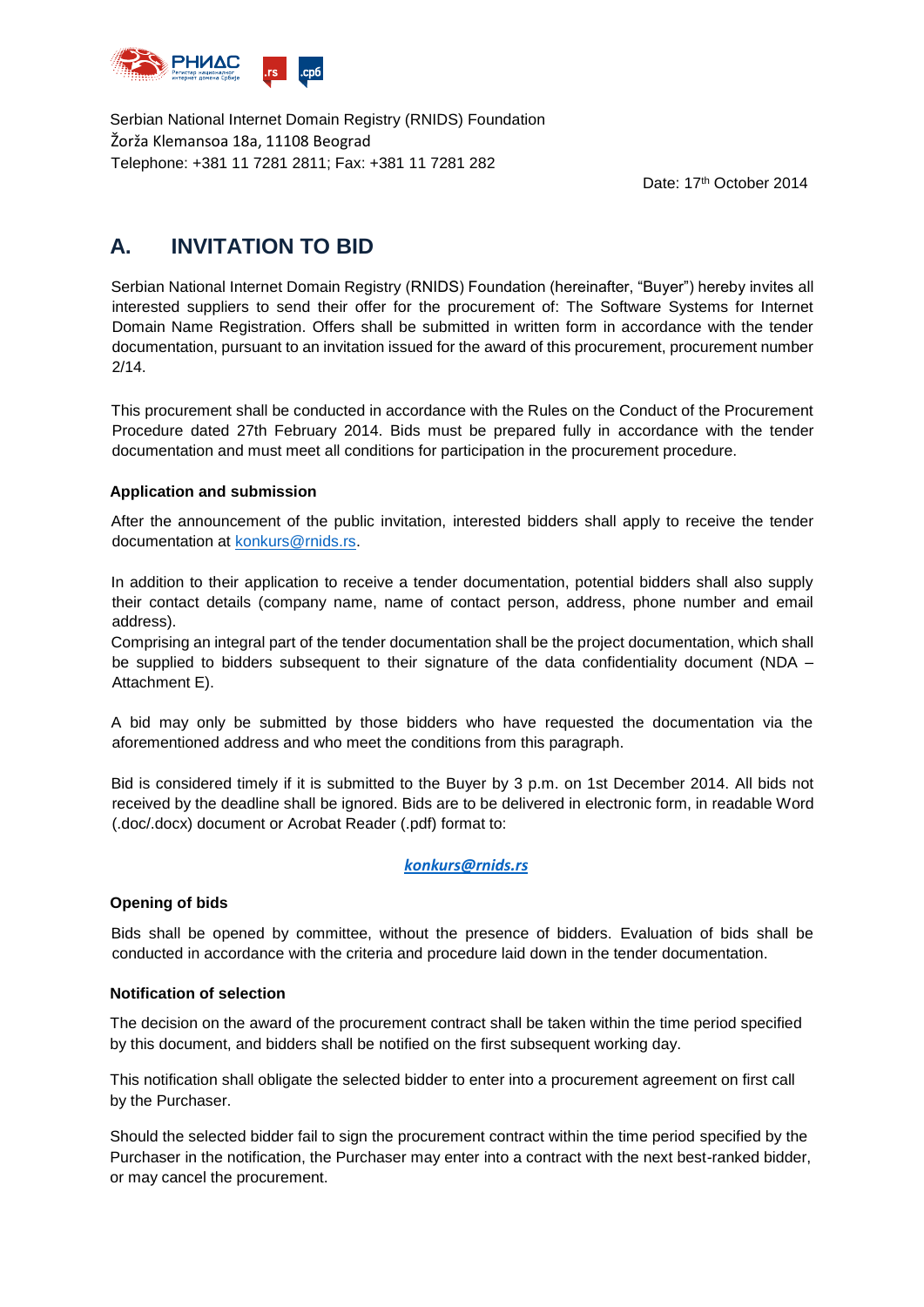

Serbian National Internet Domain Registry (RNIDS) Foundation Žorža Klemansoa 18a, 11108 Beograd Telephone: +381 11 7281 2811; Fax: +381 11 7281 282

Date: 17th October 2014

# **A. INVITATION TO BID**

Serbian National Internet Domain Registry (RNIDS) Foundation (hereinafter, "Buyer") hereby invites all interested suppliers to send their offer for the procurement of: The Software Systems for Internet Domain Name Registration. Offers shall be submitted in written form in accordance with the tender documentation, pursuant to an invitation issued for the award of this procurement, procurement number 2/14.

This procurement shall be conducted in accordance with the Rules on the Conduct of the Procurement Procedure dated 27th February 2014. Bids must be prepared fully in accordance with the tender documentation and must meet all conditions for participation in the procurement procedure.

## **Application and submission**

After the announcement of the public invitation, interested bidders shall apply to receive the tender documentation at [konkurs@rnids.rs.](mailto:konkurs@rnids.rs)

In addition to their application to receive a tender documentation, potential bidders shall also supply their contact details (company name, name of contact person, address, phone number and email address).

Comprising an integral part of the tender documentation shall be the project documentation, which shall be supplied to bidders subsequent to their signature of the data confidentiality document (NDA – Attachment E).

A bid may only be submitted by those bidders who have requested the documentation via the aforementioned address and who meet the conditions from this paragraph.

Bid is considered timely if it is submitted to the Buyer by 3 p.m. on 1st December 2014. All bids not received by the deadline shall be ignored. Bids are to be delivered in electronic form, in readable Word (.doc/.docx) document or Acrobat Reader (.pdf) format to:

### *[konkurs@rnids.rs](mailto:konkurs@rnids.rs)*

### **Opening of bids**

Bids shall be opened by committee, without the presence of bidders. Evaluation of bids shall be conducted in accordance with the criteria and procedure laid down in the tender documentation.

### **Notification of selection**

The decision on the award of the procurement contract shall be taken within the time period specified by this document, and bidders shall be notified on the first subsequent working day.

This notification shall obligate the selected bidder to enter into a procurement agreement on first call by the Purchaser.

Should the selected bidder fail to sign the procurement contract within the time period specified by the Purchaser in the notification, the Purchaser may enter into a contract with the next best-ranked bidder, or may cancel the procurement.